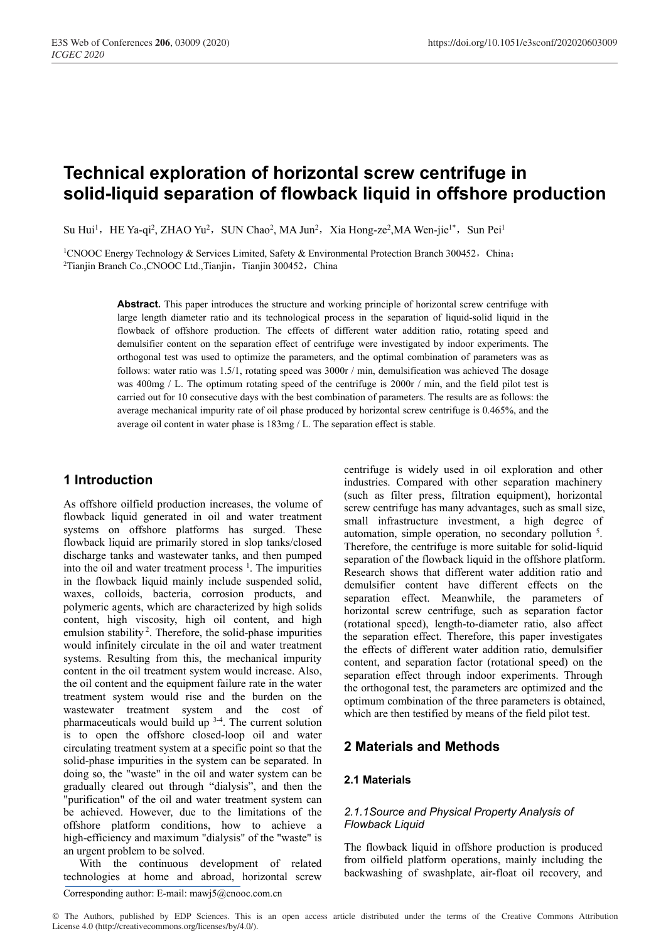# **Technical exploration of horizontal screw centrifuge in solid-liquid separation of flowback liquid in offshore production**

Su Hui<sup>1</sup>, HE Ya-qi<sup>2</sup>, ZHAO Yu<sup>2</sup>, SUN Chao<sup>2</sup>, MA Jun<sup>2</sup>, Xia Hong-ze<sup>2</sup>,MA Wen-jie<sup>1\*</sup>, Sun Pei<sup>1</sup>

<sup>1</sup>CNOOC Energy Technology & Services Limited, Safety & Environmental Protection Branch 300452, China; <sup>2</sup>Tianjin Branch Co.,CNOOC Ltd.,Tianjin, Tianjin 300452, China

> Abstract. This paper introduces the structure and working principle of horizontal screw centrifuge with large length diameter ratio and its technological process in the separation of liquid-solid liquid in the flowback of offshore production. The effects of different water addition ratio, rotating speed and demulsifier content on the separation effect of centrifuge were investigated by indoor experiments. The orthogonal test was used to optimize the parameters, and the optimal combination of parameters was as follows: water ratio was 1.5/1, rotating speed was 3000r / min, demulsification was achieved The dosage was 400mg / L. The optimum rotating speed of the centrifuge is 2000r / min, and the field pilot test is carried out for 10 consecutive days with the best combination of parameters. The results are as follows: the average mechanical impurity rate of oil phase produced by horizontal screw centrifuge is 0.465%, and the average oil content in water phase is 183mg / L. The separation effect is stable.

# **1 Introduction**

As offshore oilfield production increases, the volume of flowback liquid generated in oil and water treatment systems on offshore platforms has surged. These flowback liquid are primarily stored in slop tanks/closed discharge tanks and wastewater tanks, and then pumped into the oil and water treatment process<sup>1</sup>. The impurities in the flowback liquid mainly include suspended solid, waxes, colloids, bacteria, corrosion products, and polymeric agents, which are characterized by high solids content, high viscosity, high oil content, and high emulsion stability 2. Therefore, the solid-phase impurities would infinitely circulate in the oil and water treatment systems. Resulting from this, the mechanical impurity content in the oil treatment system would increase. Also, the oil content and the equipment failure rate in the water treatment system would rise and the burden on the wastewater treatment system and the cost of pharmaceuticals would build up  $3-4$ . The current solution is to open the offshore closed-loop oil and water circulating treatment system at a specific point so that the solid-phase impurities in the system can be separated. In doing so, the "waste" in the oil and water system can be gradually cleared out through "dialysis", and then the "purification" of the oil and water treatment system can be achieved. However, due to the limitations of the offshore platform conditions, how to achieve a high-efficiency and maximum "dialysis" of the "waste" is an urgent problem to be solved.

With the continuous development of related technologies at home and abroad, horizontal screw

small infrastructure investment, a high degree of automation, simple operation, no secondary pollution <sup>5</sup>. Therefore, the centrifuge is more suitable for solid-liquid separation of the flowback liquid in the offshore platform. Research shows that different water addition ratio and demulsifier content have different effects on the separation effect. Meanwhile, the parameters of horizontal screw centrifuge, such as separation factor (rotational speed), length-to-diameter ratio, also affect the separation effect. Therefore, this paper investigates the effects of different water addition ratio, demulsifier content, and separation factor (rotational speed) on the separation effect through indoor experiments. Through the orthogonal test, the parameters are optimized and the optimum combination of the three parameters is obtained, which are then testified by means of the field pilot test. **2 Materials and Methods** 

centrifuge is widely used in oil exploration and other industries. Compared with other separation machinery (such as filter press, filtration equipment), horizontal screw centrifuge has many advantages, such as small size,

# **2.1 Materials**

# *2.1.1Source and Physical Property Analysis of Flowback Liquid*

The flowback liquid in offshore production is produced from oilfield platform operations, mainly including the backwashing of swashplate, air-float oil recovery, and

© The Authors, published by EDP Sciences. This is an open access article distributed under the terms of the Creative Commons Attribution License 4.0 (http://creativecommons.org/licenses/by/4.0/).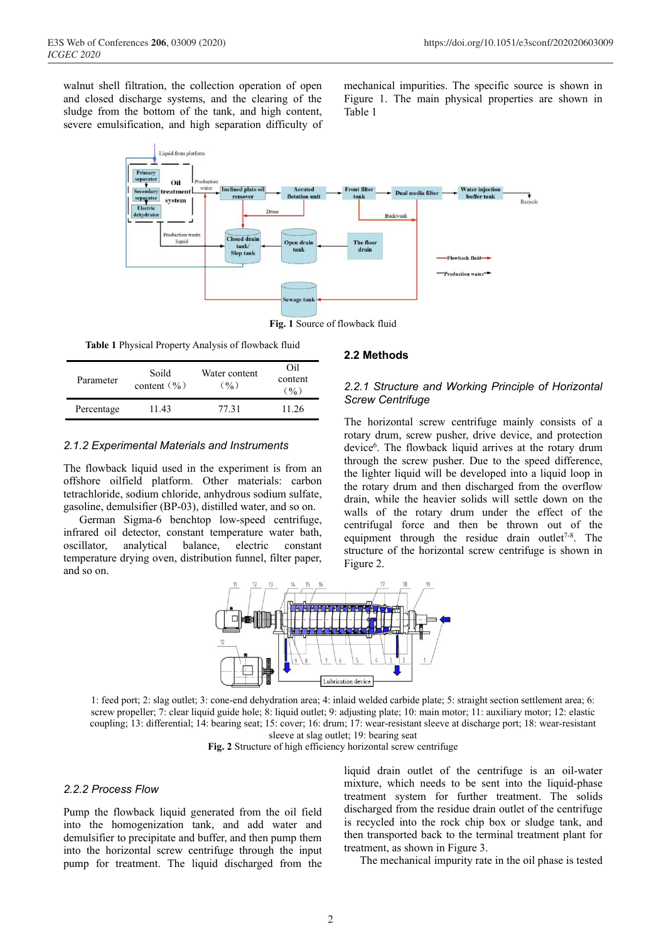walnut shell filtration, the collection operation of open and closed discharge systems, and the clearing of the sludge from the bottom of the tank, and high content, severe emulsification, and high separation difficulty of

mechanical impurities. The specific source is shown in Figure 1. The main physical properties are shown in Table 1



**Fig. 1** Source of flowback fluid

**Table 1** Physical Property Analysis of flowback fluid

| Parameter  | Soild<br>content $(\frac{6}{6})$ | Water content<br>(9/0) | ∩il<br>content<br>(0/0) |
|------------|----------------------------------|------------------------|-------------------------|
| Percentage | 11.43                            | 77.31                  | 11.26                   |

### *2.1.2 Experimental Materials and Instruments*

The flowback liquid used in the experiment is from an offshore oilfield platform. Other materials: carbon tetrachloride, sodium chloride, anhydrous sodium sulfate, gasoline, demulsifier (BP-03), distilled water, and so on.

German Sigma-6 benchtop low-speed centrifuge, infrared oil detector, constant temperature water bath, oscillator, analytical balance, electric constant temperature drying oven, distribution funnel, filter paper, and so on.

#### **2.2 Methods**

# *2.2.1 Structure and Working Principle of Horizontal Screw Centrifuge*

The horizontal screw centrifuge mainly consists of a rotary drum, screw pusher, drive device, and protection device<sup>6</sup>. The flowback liquid arrives at the rotary drum through the screw pusher. Due to the speed difference, the lighter liquid will be developed into a liquid loop in the rotary drum and then discharged from the overflow drain, while the heavier solids will settle down on the walls of the rotary drum under the effect of the centrifugal force and then be thrown out of the equipment through the residue drain outlet<sup>7-8</sup>. The structure of the horizontal screw centrifuge is shown in Figure 2.



1: feed port; 2: slag outlet; 3: cone-end dehydration area; 4: inlaid welded carbide plate; 5: straight section settlement area; 6: screw propeller; 7: clear liquid guide hole; 8: liquid outlet; 9: adjusting plate; 10: main motor; 11: auxiliary motor; 12: elastic coupling; 13: differential; 14: bearing seat; 15: cover; 16: drum; 17: wear-resistant sleeve at discharge port; 18: wear-resistant sleeve at slag outlet; 19: bearing seat

**Fig. 2** Structure of high efficiency horizontal screw centrifuge

#### *2.2.2 Process Flow*

Pump the flowback liquid generated from the oil field into the homogenization tank, and add water and demulsifier to precipitate and buffer, and then pump them into the horizontal screw centrifuge through the input pump for treatment. The liquid discharged from the

liquid drain outlet of the centrifuge is an oil-water mixture, which needs to be sent into the liquid-phase treatment system for further treatment. The solids discharged from the residue drain outlet of the centrifuge is recycled into the rock chip box or sludge tank, and then transported back to the terminal treatment plant for treatment, as shown in Figure 3.

The mechanical impurity rate in the oil phase is tested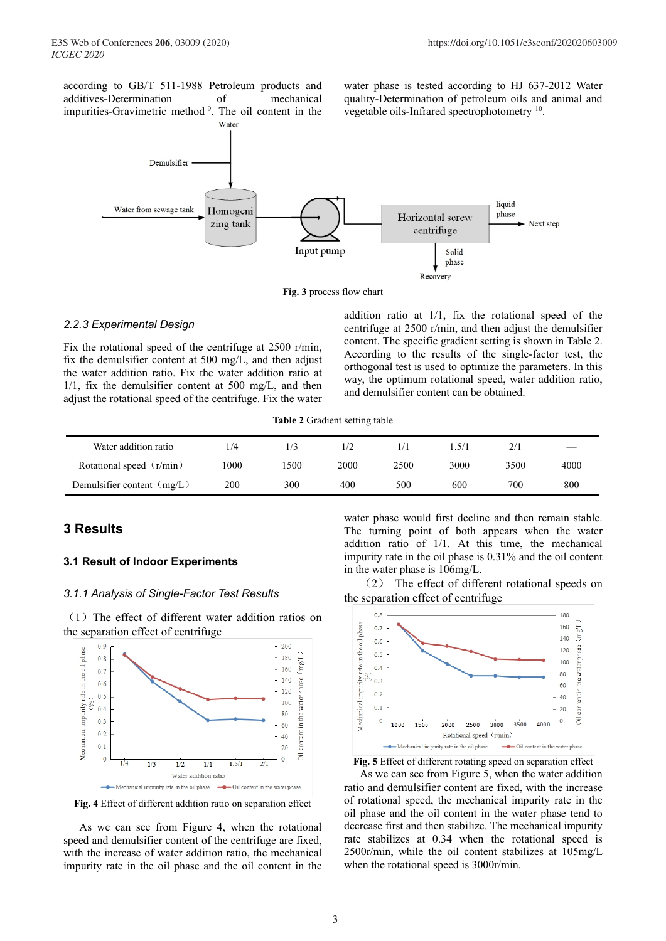according to GB/T 511-1988 Petroleum products and additives-Determination of mechanical impurities-Gravimetric method 9. The oil content in the

Water

water phase is tested according to HJ 637-2012 Water quality-Determination of petroleum oils and animal and vegetable oils-Infrared spectrophotometry 10.



**Fig. 3** process flow chart

#### *2.2.3 Experimental Design*

Fix the rotational speed of the centrifuge at 2500 r/min, fix the demulsifier content at 500 mg/L, and then adjust the water addition ratio. Fix the water addition ratio at 1/1, fix the demulsifier content at 500 mg/L, and then adjust the rotational speed of the centrifuge. Fix the water addition ratio at 1/1, fix the rotational speed of the centrifuge at 2500 r/min, and then adjust the demulsifier content. The specific gradient setting is shown in Table 2. According to the results of the single-factor test, the orthogonal test is used to optimize the parameters. In this way, the optimum rotational speed, water addition ratio, and demulsifier content can be obtained.

**Table 2** Gradient setting table

| Water addition ratio         | 1/4  | /3   | 1/2  |      | .5/1 |      |      |
|------------------------------|------|------|------|------|------|------|------|
| Rotational speed (r/min)     | 1000 | 1500 | 2000 | 2500 | 3000 | 3500 | 4000 |
| Demulsifier content $(mg/L)$ | 200  | 300  | 400  | 500  | 600  | 700  | 800  |

# **3 Results**

#### **3.1 Result of Indoor Experiments**

#### *3.1.1 Analysis of Single-Factor Test Results*

(1)The effect of different water addition ratios on the separation effect of centrifuge



**Fig. 4** Effect of different addition ratio on separation effect

As we can see from Figure 4, when the rotational speed and demulsifier content of the centrifuge are fixed, with the increase of water addition ratio, the mechanical impurity rate in the oil phase and the oil content in the

water phase would first decline and then remain stable. The turning point of both appears when the water addition ratio of 1/1. At this time, the mechanical impurity rate in the oil phase is 0.31% and the oil content in the water phase is 106mg/L.

(2) The effect of different rotational speeds on the separation effect of centrifuge



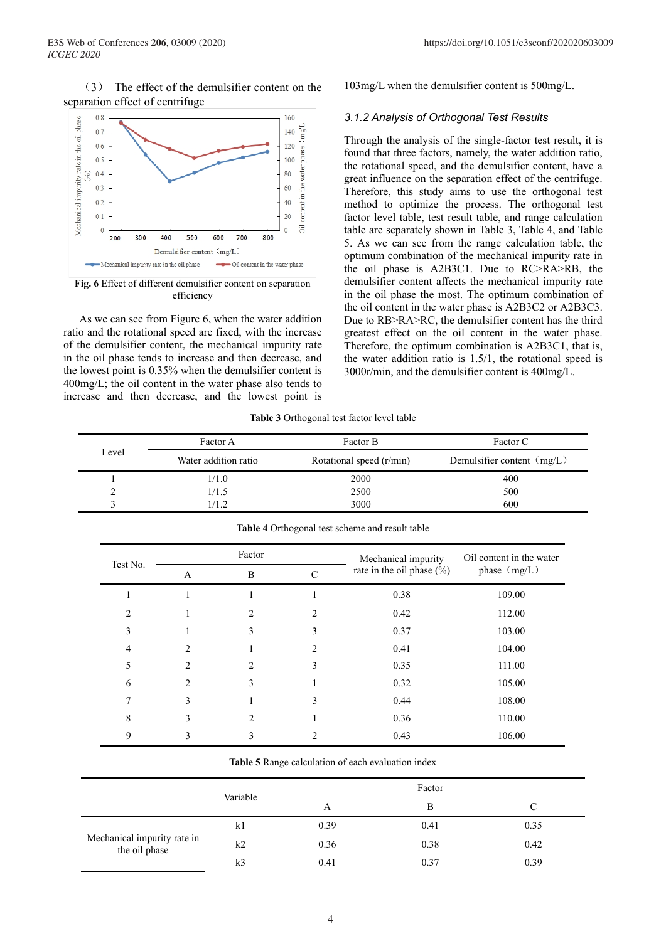(3) The effect of the demulsifier content on the separation effect of centrifuge



**Fig. 6** Effect of different demulsifier content on separation efficiency

As we can see from Figure 6, when the water addition ratio and the rotational speed are fixed, with the increase of the demulsifier content, the mechanical impurity rate in the oil phase tends to increase and then decrease, and the lowest point is 0.35% when the demulsifier content is 400mg/L; the oil content in the water phase also tends to increase and then decrease, and the lowest point is 103mg/L when the demulsifier content is 500mg/L.

#### *3.1.2 Analysis of Orthogonal Test Results*

Through the analysis of the single-factor test result, it is found that three factors, namely, the water addition ratio, the rotational speed, and the demulsifier content, have a great influence on the separation effect of the centrifuge. Therefore, this study aims to use the orthogonal test method to optimize the process. The orthogonal test factor level table, test result table, and range calculation table are separately shown in Table 3, Table 4, and Table 5. As we can see from the range calculation table, the optimum combination of the mechanical impurity rate in the oil phase is A2B3C1. Due to RC>RA>RB, the demulsifier content affects the mechanical impurity rate in the oil phase the most. The optimum combination of the oil content in the water phase is A2B3C2 or A2B3C3. Due to RB>RA>RC, the demulsifier content has the third greatest effect on the oil content in the water phase. Therefore, the optimum combination is A2B3C1, that is, the water addition ratio is 1.5/1, the rotational speed is 3000r/min, and the demulsifier content is 400mg/L.

**Table 3** Orthogonal test factor level table

|                               | Factor A                 | Factor B                     | Factor C |
|-------------------------------|--------------------------|------------------------------|----------|
| Level<br>Water addition ratio | Rotational speed (r/min) | Demulsifier content $(mg/L)$ |          |
|                               | 1/1.0                    | 2000                         | 400      |
|                               | 1/1.5                    | 2500                         | 500      |
|                               | 1.2                      | 3000                         | 600      |

| Test No. |   | Factor |   | Mechanical impurity          | Oil content in the water |  |
|----------|---|--------|---|------------------------------|--------------------------|--|
|          | A | B      | C | rate in the oil phase $(\%)$ | phase $(mg/L)$           |  |
|          |   |        |   | 0.38                         | 109.00                   |  |
| 2        |   | 2      | 2 | 0.42                         | 112.00                   |  |
| 3        |   | 3      | 3 | 0.37                         | 103.00                   |  |
| 4        | 2 |        | 2 | 0.41                         | 104.00                   |  |
| 5        | 2 | 2      | 3 | 0.35                         | 111.00                   |  |
| 6        | 2 | 3      |   | 0.32                         | 105.00                   |  |
| 7        | 3 |        | 3 | 0.44                         | 108.00                   |  |
| 8        | 3 | 2      |   | 0.36                         | 110.00                   |  |
| 9        | 3 | 3      |   | 0.43                         | 106.00                   |  |

**Table 4** Orthogonal test scheme and result table

**Table 5** Range calculation of each evaluation index

|                                              | Variable | Factor |      |      |  |
|----------------------------------------------|----------|--------|------|------|--|
|                                              |          | A      | В    | С    |  |
| Mechanical impurity rate in<br>the oil phase | k1       | 0.39   | 0.41 | 0.35 |  |
|                                              | k2       | 0.36   | 0.38 | 0.42 |  |
|                                              | k3       | 0.41   | 0.37 | 0.39 |  |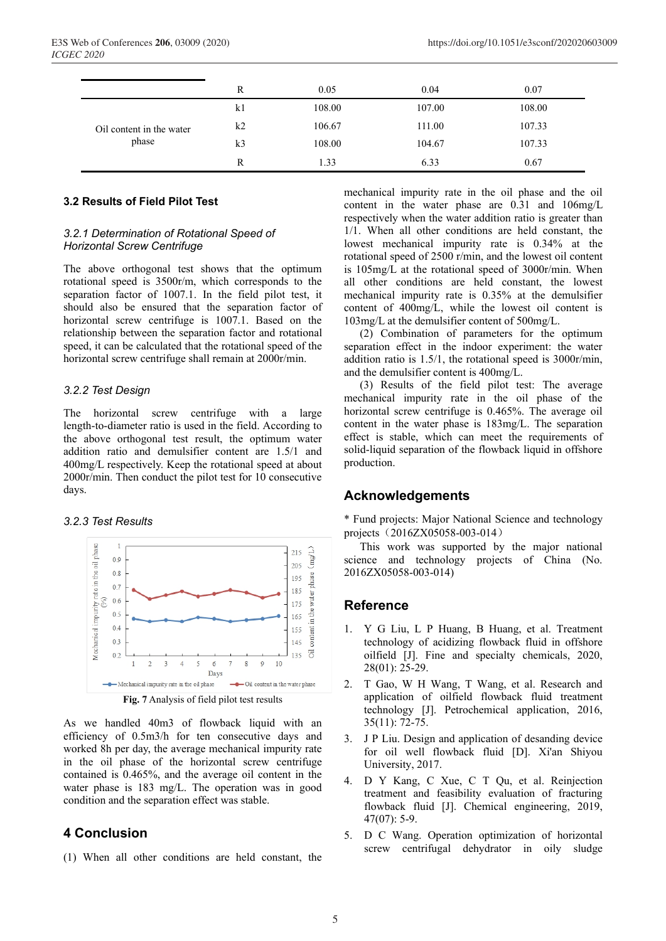|                                   | R              | 0.05   | 0.04   | 0.07   |
|-----------------------------------|----------------|--------|--------|--------|
| Oil content in the water<br>phase | k1             | 108.00 | 107.00 | 108.00 |
|                                   | k <sub>2</sub> | 106.67 | 111.00 | 107.33 |
|                                   | k <sub>3</sub> | 108.00 | 104.67 | 107.33 |
|                                   | R              | 1.33   | 6.33   | 0.67   |

# **3.2 Results of Field Pilot Test**

#### *3.2.1 Determination of Rotational Speed of Horizontal Screw Centrifuge*

The above orthogonal test shows that the optimum rotational speed is 3500r/m, which corresponds to the separation factor of 1007.1. In the field pilot test, it should also be ensured that the separation factor of horizontal screw centrifuge is 1007.1. Based on the relationship between the separation factor and rotational speed, it can be calculated that the rotational speed of the horizontal screw centrifuge shall remain at 2000r/min.

#### *3.2.2 Test Design*

The horizontal screw centrifuge with a large length-to-diameter ratio is used in the field. According to the above orthogonal test result, the optimum water addition ratio and demulsifier content are 1.5/1 and 400mg/L respectively. Keep the rotational speed at about 2000r/min. Then conduct the pilot test for 10 consecutive days.

## *3.2.3 Test Results*



**Fig. 7** Analysis of field pilot test results

As we handled 40m3 of flowback liquid with an efficiency of 0.5m3/h for ten consecutive days and worked 8h per day, the average mechanical impurity rate in the oil phase of the horizontal screw centrifuge contained is 0.465%, and the average oil content in the water phase is 183 mg/L. The operation was in good condition and the separation effect was stable.

# **4 Conclusion**

(1) When all other conditions are held constant, the

mechanical impurity rate in the oil phase and the oil content in the water phase are 0.31 and 106mg/L respectively when the water addition ratio is greater than 1/1. When all other conditions are held constant, the lowest mechanical impurity rate is 0.34% at the rotational speed of 2500 r/min, and the lowest oil content is 105mg/L at the rotational speed of 3000r/min. When all other conditions are held constant, the lowest mechanical impurity rate is 0.35% at the demulsifier content of 400mg/L, while the lowest oil content is 103mg/L at the demulsifier content of 500mg/L.

(2) Combination of parameters for the optimum separation effect in the indoor experiment: the water addition ratio is 1.5/1, the rotational speed is 3000r/min, and the demulsifier content is 400mg/L.

(3) Results of the field pilot test: The average mechanical impurity rate in the oil phase of the horizontal screw centrifuge is 0.465%. The average oil content in the water phase is 183mg/L. The separation effect is stable, which can meet the requirements of solid-liquid separation of the flowback liquid in offshore production.

# **Acknowledgements**

\* Fund projects: Major National Science and technology projects (2016ZX05058-003-014)

This work was supported by the major national science and technology projects of China (No. 2016ZX05058-003-014)

# **Reference**

- 1. Y G Liu, L P Huang, B Huang, et al. Treatment technology of acidizing flowback fluid in offshore oilfield [J]. Fine and specialty chemicals, 2020, 28(01): 25-29.
- 2. T Gao, W H Wang, T Wang, et al. Research and application of oilfield flowback fluid treatment technology [J]. Petrochemical application, 2016, 35(11): 72-75.
- 3. J P Liu. Design and application of desanding device for oil well flowback fluid [D]. Xi'an Shiyou University, 2017.
- 4. D Y Kang, C Xue, C T Qu, et al. Reinjection treatment and feasibility evaluation of fracturing flowback fluid [J]. Chemical engineering, 2019, 47(07): 5-9.
- 5. D C Wang. Operation optimization of horizontal screw centrifugal dehydrator in oily sludge